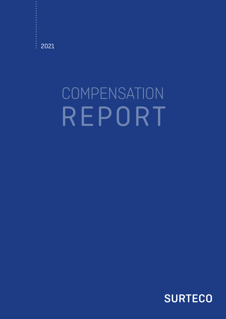$\frac{1}{2}$ 2021

# **COMPENSATION** REPORT

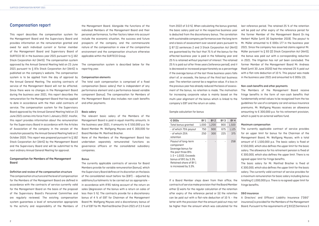# Compensation report

This report describes the compensation system for the Management Board and the Supervisory Board and provides information on the remuneration granted and owed for each individual current or former member of the Management Board and Supervisory Board of SURTECO SE in the business year 2021 pursuant to § 162 Stock Corporation Act (AktG). The compensation system approved by the Annual General Meeting held on 23 June 2021 pursuant to § 87a Stock Corporation Act (AktG) is published on the company's website. The compensation system is to be applied from the day of approval by the Annual General Meeting. The existing contracts of service of the Management Board will not be affected. Since there were no changes in the Management Board during the business year 2021, this report describes the remuneration for the Management Board that has applied to date in accordance with the then valid contracts of service. The compensation system for the Supervisory Board approved by the Annual General Meeting held on 23 June 2021 comes into force from 1 January 2022. Insofar, this report provides information about the remuneration for the Supervisory Board in accordance with the Articles of Association of the company in the version of the resolution passed by the Annual General Meeting held on 2 October 2020. This report was prepared pursuant to § 162 Stock Corporation Act (AktG) by the Management Board and the Supervisory Board and will be submitted to the next ordinary Annual General Meeting for approval.

### Compensation for Members of the Management Board

### Definition and review of the compensation structure

The compensation structure and the level of compensation for the Members of the Management Board are defined in accordance with the contracts of service currently valid for the Management Board on the basis of the proposal of the Supervisory Board's Personnel Committee and are regularly reviewed. The existing compensation system guarantees a level of remuneration appropriate to the activity and responsibility of the Members of

the Management Board. Alongside the functions of the individual Members of the Management Board and their personal performance, further factors taken into account include the economic situation, the success and future prospects of the company, and the commensurate nature of the compensation in view of the comparative environment and the compensation structure otherwise applicable within the SURTECO Group.

The compensation system is described below for the reporting year.

### Compensation elements

The total cash compensation is comprised of a fixed compensation (basic salary) that is independent of any performance element and a performance-based variable component (bonus). The compensation for Members of the Management Board also includes non-cash benefits and other payments.

### Basic salary

The relevant basic salary of the Members of the Management Board is paid in equal monthly amounts. In the business year 2021, it amounts to € 550,000 p.a. for Board Member Mr. Wolfgang Moyses and € 300,000 for Board Member Mr. Manfred Bracher.

None of the Members of the Management Board has undertaken separately remunerated functions as governance officers at the consolidated subsidiary companies.

### Bonus

The currently applicable contracts of service for Board Members provide for variable remuneration (bonus), which the Supervisory Board defines at its discretion on the basis of the consolidated result before tax (EBT) – adjusted by additions/curtailments to be carried out as appropriate – in accordance with IFRS taking account of the return on sales (degression of the bonus with a return on sales of less than 5 %). The contracts provide for a discretionary bonus of 4 % of EBT for Chairman of the Management Board Mr. Wolfgang Moyses and a discretionary bonus of 2 % of EBT for Mr. Manfred Bracher (from 2021 of 2.5 % and

| € 000s                                                                                                                                                                              | BY 1  | BY <sub>2</sub> | BY <sub>3</sub> | BY <sub>4</sub> |
|-------------------------------------------------------------------------------------------------------------------------------------------------------------------------------------|-------|-----------------|-----------------|-----------------|
| <b>Total bonus granted</b>                                                                                                                                                          | 1.000 | 1,200           | 900             | 1,500           |
| - of which 75% payout                                                                                                                                                               | 750   | 900             | 675             | 1,125           |
| - of which 25%<br>retention                                                                                                                                                         | 250   | 300             | 225             | 375             |
| Payout of long-term<br>component<br>(average bonus for<br>the past three BYs<br>$1-3 = 1,033$ . Exceeds<br>bonus of BY1 by 3.3%.<br>Retained share of BY 1<br>is increased by 3.3%. |       |                 |                 | 258             |

from 2022 of 3.0 %). When calculating the bonus granted, the basic salary paid out in the respective business year is deducted from the discretionary bonus. The correlation with sustainable company performance over the long term and a basis of assessment over several years pursuant to § 87 (1) sentences 2 and 3 Stock Corporation Act (AktG) are guaranteed by the fact that 75 % of the bonus for the affected business year is paid in the following year and 25 % is retained without payment of interest. The retained 25 % is paid out after three years (reference period), and it is decreased or increased proportionately as a percentage if the average bonus of the last three business years falls short of, or exceeds, the bonus of the third last business year. The retention cannot be a negative value. If a loss in the previous year has already reduced the basis of assessment of the bonus, no retention is made. The motivation for increasing corporate value is mainly based on the multi-year alignment of the bonus which is linked to the company's EBT and the return on sales. Sample calculation for bonus last reference period. The retained 25 % of the retention will be paid out after expiry of the reference period for the former Member of the Management Board Dr.-Ing Herbert Müller (until 30 September 2019). The payout to Mr. Müller amounted to € 000s 177 in the business year 2021. Since the company has asserted claims against Mr. Müller pursuant to § 93 (2) Stock Corporation Act (AktG), the bonus was paid out with a corresponding reduction in 2021. The litigation has not yet been concluded. The former Member of the Management Board Mr. Andreas Riedl (until 30 June 2020) had the retained 25 % paid out with a flat-rate deduction of 10 %. This payout was made in the business year 2021 and amounted to € 000s 131. Non-cash benefits and other payments The Members of the Management Board receive fringe benefits in the form of non-cash benefits that fundamentally entail values to be recognized from the tax guidelines for use of a company car and various insurance premiums. Mr. Wolfgang Moyses receives an allowance amounting to € 300,000 p.a. for his retirement provision, which is paid to an external welfare fund.

If a Board Member steps down from their office, the contracts of service make provision that the Board Member either (i) waits for the regular calculation of the retention after expiry of the reference period or (ii) the retention can be paid out with a flat-rate deduction of 10 % – the latter with the provision that the amount paid out may not be higher than the amount which was calculated for the fringe benefits. D&O insurance A Directors' and Officers' Liability Insurance ("D&O" insurance) is provided for the Members of the Management Board. Pursuant to the requirements of § 93 (2) Sentence 3

### Maximum compensation

The currently applicable contract of service provides for an upper limit for bonus for the Chairman of the Management Board, Mr. Wolfgang Moyses, with a total amount of € 1,500,000 p.a. The basic salary is fixed at € 550,000, which also defines the upper limit for the basic salary. The allowance for his retirement pension is fixed at € 300,000, which also defines the upper limit. There is no agreed upper limit for fringe benefits.

The basic salary for Mr. Manfred Bracher is fixed at € 300,000, which also defines the upper limit for the basic salary. The currently valid contract of service provides for a maximum remuneration for basic salary including bonus totalling € 1,000,000 p.a. There is no agreed upper limit for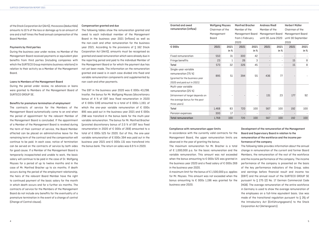### Compensation granted and due

The following tables show the remuneration granted and owed to each individual member of the Management Board in the business year 2021 (inflows) as well as the non-cash and other remuneration for the business year 2021. According to the provisions of § 162 Stock Corporation Act (AktG), amounts must be recognised as granted and owed remuneration which were already due in the reporting period and paid to the individual Member of the Management Board or for which the payment due has not yet been made. The information on the remuneration granted and owed is in each case divided into fixed and variable remuneration components and supplemented by non-cash and other payments.

The EBT in the business year 2020 was € 000s 43,298. Insofar, the bonus for Mr. Wolfgang Moyses (discretionary bonus of 4 % of EBT less fixed renumeration in 2020 of € 000s 539) amounted to a total of € 000s 1,193, of which the one-year variable remuneration of  $\epsilon$  000s 895 was paid out in the business year 2021 and € 000s 298 was transferd in the bonus bank for the multi-year variable remuneration. The bonus for Mr. Manfred Bracher (prorated discretionary bonus of 2.0 % of EBT less fixed renumeration in 2020 of € 000s of 269) amounted to a total of € 000s 525 for 2020. Out of this, the one-year variable remuneration of € 000s 394 was paid out in the business year 2021 and € 000s 131 was transfered into the bonus bank. The return on sales was 6.9 % in 2020.

of the Stock Corporation Act (AktG), the excess (deductible) amounts to 10 % of the loss or damage up to an amount of one and a half times the fixed annual compensation of the Board Member.

### Payments by third parties

During the business year under review, no Member of the Management Board received payments or equivalent plan benefits from third parties (including companies with which the SURTECO Group maintains business relations) in relation to their activity as a Member of the Management Board.

### Loans to Members of the Management Board

During the period under review, no advances or loans were granted to Members of the Management Board of SURTECO GROUP SE.

### Benefits for premature termination of employment

The contracts of service for the Members of the Management Board automatically come to an end when the period of appointment for the relevant Member of the Management Board is concluded. If the appointment of a Member of the Management Board is revoked during the term of their contract of service, the Board Member affected can be placed on administrative leave for the remaining term of the contract and the compensation will continue to be paid. In each case, notice of termination can be served on the contracts of service by both sides for good cause. If a Member of the Management Board is temporarily incapacitated and unable to work, the basic salary will continue to be paid in the case of Dr. Wolfgang Moyses for a period of up to twelve months and in the case of Mr. Manfred Bracher up to six months. If death occurs during the period of the employment relationship, the heirs of the relevant Board Member have the right to continued payment of the basic salary for the month in which death occurs and for a further six months. The contracts of service for the Members of the Management Board do not include any benefits for the eventuality of a premature termination in the event of a change of control (Change of Control clause).

| <b>Granted and owed</b>          | <b>Wolfgang Moyses</b> |      | <b>Manfred Bracher</b> |                  | <b>Andreas Riedl</b> |                          | <b>Herbert Müller</b> |                    |
|----------------------------------|------------------------|------|------------------------|------------------|----------------------|--------------------------|-----------------------|--------------------|
| remuneration (inflow)            | Chairman of the        |      | Member of the          |                  | Member of the        |                          | Chairman of the       |                    |
|                                  | Management             |      |                        | Management Board |                      | Management Board         |                       | Management Board   |
|                                  | Board                  |      | from 1 February        |                  | until 30 June 2020   |                          |                       | until 30 September |
|                                  |                        |      | 2020                   |                  |                      |                          | 2019                  |                    |
| € 000s                           | 2021                   | 2021 | 2021                   | 2021             | 2021                 | 2021                     | 2021                  | 2021               |
|                                  |                        | in % |                        | in %             |                      | in %                     |                       | in %               |
| <b>Fixed remuneration</b>        | 550                    | 31   | 300                    | 42               |                      | $\qquad \qquad -$        |                       |                    |
| Fringe benefits                  | 23                     | 1    | 26                     | 3                |                      | $\overline{\phantom{a}}$ | 15                    | 8                  |
| Total                            | 573                    | 32   | 326                    | 45               |                      | $\overline{\phantom{a}}$ | 15                    | 8                  |
| Single-year variable             |                        |      |                        |                  |                      |                          |                       |                    |
| remuneration [75 %]              | 895                    | 51   | 394                    | 55               | 436                  | 77                       |                       |                    |
| (granted for the business year   |                        |      |                        |                  |                      |                          |                       |                    |
| 2020 and paid out in 2021)       |                        |      |                        |                  |                      |                          |                       |                    |
| Multi-year variable              |                        |      |                        |                  |                      |                          |                       |                    |
| remuneration (25 %)              |                        |      |                        |                  |                      |                          |                       |                    |
| (Attainment of target depends on |                        |      |                        |                  | 131                  | 23                       | 177                   | 92                 |
| the average bonus for the past   |                        |      |                        |                  |                      |                          |                       |                    |
| three years)                     |                        |      |                        |                  |                      |                          |                       |                    |
| <b>Total</b>                     | 1,468                  | 83   | 720                    | 100              | 567                  | 100                      | 192                   | 100                |
| Pension expenses                 | 300                    | 17   |                        |                  |                      | $\qquad \qquad -$        |                       |                    |
| <b>Total remuneration</b>        | 1,768                  | 100  | 720                    | 100              | 567                  | 100                      | 192                   | 100                |

### Compliance with remuneration upper limits

In accordance with the currently valid contracts for the Management Board, the upper remuneration limits are observed in the year of granting the bonus.

## Development of the remuneration of the Management Board and Supervisory Board in relation to the remuneration of the workforce and the income per-

### formance of the company

The maximum remuneration for Mr. Bracher is a total of € 1,000,000 p.a. for the basic remuneration and the variable remuneration. This amount was not exceeded when the bonus amounting to € 000s 525 was granted in the business year 2020 and a fixed salary of € 000s 269 in the business year 2020. A maximum limit for the bonus of € 1,500,000 p.a. applies for Mr. Moyses. This amount was not exceeded when the bonus amounting to € 000s 1,196 was granted for the business year 2020. The following table provides information about the annual change in remuneration of the current and former Board Members, the remuneration of the rest of the workforce and the income performance of the company. The income performance of the company is presented on the basis of the key performance indicators of the Group, sales and earnings before financial result and income tax (EBIT) and the annual result of the SURTECO GROUP SE pursuant to § 275 (2) No. 17 German Commercial Code (HGB). The average remuneration of the entire workforce in Germany is used to show the average remuneration of the employees on a full-time equivalent basis. Use was made of the transitional regulation pursuant to § 26j of the Introductory Act (Einführungsgesetz) to the Stock Corporation Act (Aktiengesetz).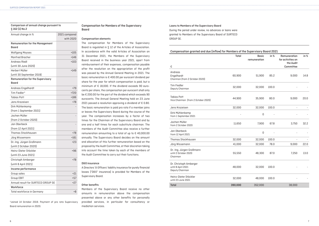### Loans to Members of the Supervisory Board

During the period under review, no advances or loans were granted to Members of the Supervisory Board of SURTECO GROUP SE.

| Compensation granted and due (inflow) for Members of the Supervisory Board 2021 |         |                              |       |                                                |      |  |  |  |  |  |  |  |  |
|---------------------------------------------------------------------------------|---------|------------------------------|-------|------------------------------------------------|------|--|--|--|--|--|--|--|--|
|                                                                                 | Total   | <b>Basic</b><br>remuneration | in %  | Remuneration<br>for activities on<br>the Audit | in % |  |  |  |  |  |  |  |  |
| €                                                                               |         |                              |       | Committee                                      |      |  |  |  |  |  |  |  |  |
| Andreas                                                                         |         |                              |       |                                                |      |  |  |  |  |  |  |  |  |
| Engelhardt<br>Chariman (from 2 October 2020)                                    | 60,900  | 51,900                       | 85.2  | 9,000                                          | 14.8 |  |  |  |  |  |  |  |  |
| <b>Tim Fiedler</b><br>Deputy Chairman                                           | 32,000  | 32,000                       | 100.0 |                                                |      |  |  |  |  |  |  |  |  |
| <b>Tobias Pott</b><br>Vice Chairman (from 2 October 2020)                       | 44,900  | 35,900                       | 80.0  | 9,000                                          | 20.0 |  |  |  |  |  |  |  |  |
| Jens Krazeisen                                                                  | 32,000  | 32,000                       | 100.0 |                                                |      |  |  |  |  |  |  |  |  |
| Dirk Mühlenkamp<br>from 1 September 2021                                        |         | 0                            |       |                                                |      |  |  |  |  |  |  |  |  |
| Jochen Müller<br>from 2 October 2020                                            | 11,650  | 7,900                        | 67.8  | 3,750                                          | 32.2 |  |  |  |  |  |  |  |  |
| Jan Oberbeck<br>from 12 April 2021                                              |         | 0                            |       |                                                |      |  |  |  |  |  |  |  |  |
| <b>Thomas Stockhausen</b>                                                       | 32,000  | 32,000                       | 100.0 | $\overline{\phantom{a}}$                       |      |  |  |  |  |  |  |  |  |
| Jörg Wissemann                                                                  | 41,000  | 32,000                       | 78.0  | 9,000                                          | 22.0 |  |  |  |  |  |  |  |  |
| Dr.-Ing. Jürgen Großmann<br>until 2 October 2020<br>Chairman                    | 55,550  | 48,300                       | 87.0  | 7,250                                          | 13.0 |  |  |  |  |  |  |  |  |
| Dr. Christoph Amberger<br>until 8 April 2021<br>Deputy Chairman                 | 48,000  | 32,000                       | 100.0 |                                                |      |  |  |  |  |  |  |  |  |
| Heinz-Dieter Stöckler<br>until 23 June 2021                                     | 32,000  | 48,000                       | 100.0 |                                                |      |  |  |  |  |  |  |  |  |
| <b>Total</b>                                                                    | 390,000 | 352,000                      |       | 38,000                                         |      |  |  |  |  |  |  |  |  |

### Comparison of annual change pursuant to § 162 (1) No.2

| Annual change in %                               | 2021 compared |
|--------------------------------------------------|---------------|
|                                                  | with 2020     |
| <b>Remuneration for the Management</b><br>Board  |               |
| <b>Wolfgang Moyses</b>                           | $+105$        |
| <b>Manfred Bracher</b>                           | $+146$        |
| <b>Andreas Riedl</b>                             | $+103$        |
| (until 30 June 2020)                             |               |
| Herbert Müller                                   | $+149$        |
| (until 30 September 2019)                        |               |
| <b>Remuneration for the Supervisory</b><br>Board |               |
| Andreas Engelhardt                               | $+79$         |
| Tim Fiedler*                                     | $+720$        |
| <b>Tobias Pott</b>                               | $+186$        |
| Jens Krazeisen                                   | $+78$         |
| Dirk Mühlenkamp                                  |               |
| (from 1 September 2021)                          |               |
| Jochen Müller                                    |               |
| (from 2 October 2020)                            |               |
| Jan Oberbeck                                     |               |
| (from 12 April 2021)                             |               |
| <b>Thomas Stockhausen</b>                        | $+78$         |
| Jörg Wissemann                                   | $+161$        |
| Dr.-Ing. Jürgen Großmann                         | $+23$         |
| (until 2 October 2020)                           |               |
| Heinz-Dieter Stöckler                            | $+96$         |
| (until 23 June 2021)                             |               |
| Christoph Amberger                               | $+78$         |
| (until 8 April 2021)                             |               |
| Income performance                               |               |
| Group sales                                      | $+21$         |
| <b>Group EBIT</b>                                | $+57$         |
| Annual result for SURTECO GROUP SE               | $+27$         |
| Workforce                                        |               |
| <b>Total workforce in Germany</b>                | +8            |

\*Joined 14 October 2019. Payment of pro rata Supervisory Board remuneration in 2020.

### Compensation for Members of the Supervisory Board

### Compensation elements

The compensation for Members of the Supervisory Board is regulated in § 12 of the Articles of Association. In accordance with the valid Articles of Association on 31 December 2021, the Members of the Supervisory Board received in the business year 2021, apart from reimbursement of their expenses, compensation payable after the resolution on the appropriation of the profit was passed by the Annual General Meeting in 2021. The basic remuneration is € 400.00 per eurocent dividend per share for the year for which compensation is paid, but a minimum of € 18,000. If the dividend exceeds 90 eurocents per share, the compensation per eurocent shall only be € 200.00 for the part of the dividend which exceeds 90 eurocents. The Annual General Meeting held on 23 June 2021 passed a resolution approving a dividend of  $\epsilon$  0.80. The basic remuneration is paid pro rata if a member joins or leaves the Supervisory Board during the course of the year. The compensation increases by a factor of two times for the Chairman of the Supervisory Board and by one and a half times for each substitute chairman. The members of the Audit Committee also receive a further remuneration amounting to a total of up to € 40,000.00 annually. The Supervisory Board decides on the amount and allocation of this further remuneration based on the proposal by the Audit Committee, at their discretion taking into account the time taken by each of the members of the Audit Committee to carry out their functions.

### D&O insurance

A Directors' & Officers' liability insurance for purely financial losses ("D&O" insurance) is provided for Members of the Supervisory Board.

### Other benefits

Members of the Supervisory Board receive no other amounts in remuneration above the compensation presented above or any other benefits for personally provided services, in particular for consultancy or mediation services.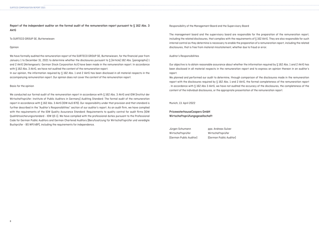Report of the independent auditor on the formal audit of the remuneration report pursuant to § 162 Abs. 3 AktG

To SURTECO GROUP SE, Buttenwiesen

Opinion

We have formally audited the remuneration report of the SURTECO GROUP SE, Buttenwiesen, for the financial year from January 1 to December 31, 2021 to determine whether the disclosures pursuant to § [Article] 162 Abs. [paragraphs] 1 and 2 AktG [Aktiengesetz: German Stock Corporation Act] have been made in the remuneration report. In accordance with § 162 Abs. 3 AktG, we have not audited the content of the remuneration report.

In our opinion, the information required by  $S$  162 Abs. 1 and 2 AktG has been disclosed in all material respects in the accompanying remuneration report. Our opinion does not cover the content of the remuneration report.

Basis for the opinion

We conducted our formal audit of the remuneration report in accordance with  $\S$  162 Abs. 3 AktG and IDW [Institut der Wirtschaftsprüfer: Institute of Public Auditors in Germany] Auditing Standard: The formal audit of the remuneration report in accordance with § 162 Abs. 3 AktG (IDW AuS 870). Our responsibility under that provision and that standard is further described in the "Auditor's Responsibilities" section of our auditor's report. As an audit firm, we have complied with the requirements of the IDW Quality Assurance Standard: Requirements to quality control for audit firms [IDW Qualitätssicherungsstandard - IDW QS 1]. We have complied with the professional duties pursuant to the Professional Code for German Public Auditors and German Chartered Auditors [Berufssatzung für Wirtschaftsprüfer und vereidigte Buchprüfer - BS WP/vBP], including the requirements for independence.

Responsibility of the Management Board and the Supervisory Board

The management board and the supervisory board are responsible for the preparation of the remuneration report, including the related disclosures, that complies with the requirements of § 162 AktG. They are also responsible for such internal control as they determine is necessary to enable the preparation of a remuneration report, including the related disclosures, that is free from material misstatement, whether due to fraud or error.

Auditor's Responsibilities

Our objective is to obtain reasonable assurance about whether the information required by § 162 Abs. 1 and 2 AktG has been disclosed in all material respects in the remuneration report and to express an opinion thereon in an auditor's report.

We planned and performed our audit to determine, through comparison of the disclosures made in the remuneration report with the disclosures required by § 162 Abs. 1 and 2 AktG, the formal completeness of the remuneration report . In accordance with § 162 Abs 3 AktG, we have not audited the accuracy of the disclosures, the completeness of the content of the individual disclosures, or the appropriate presentation of the remuneration report.

Munich, 13. April 2022

PricewaterhouseCoopers GmbH Wirtschaftsprüfungsgesellschaft

Jürgen Schumann ppa. Andreas Sulzer

Wirtschaftsprüfer Wirtschaftsprüfer (German Public Auditor) (German Public Auditor)